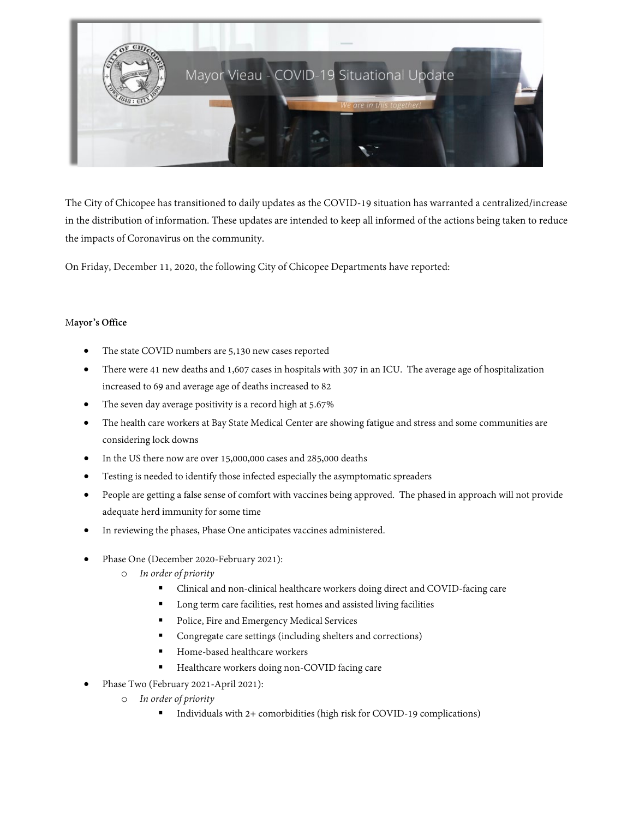

The City of Chicopee has transitioned to daily updates as the COVID-19 situation has warranted a centralized/increase in the distribution of information. These updates are intended to keep all informed of the actions being taken to reduce the impacts of Coronavirus on the community.

On Friday, December 11, 2020, the following City of Chicopee Departments have reported:

# M**ayor's Office**

- The state COVID numbers are 5,130 new cases reported
- There were 41 new deaths and 1,607 cases in hospitals with 307 in an ICU. The average age of hospitalization increased to 69 and average age of deaths increased to 82
- The seven day average positivity is a record high at 5.67%
- The health care workers at Bay State Medical Center are showing fatigue and stress and some communities are considering lock downs
- In the US there now are over 15,000,000 cases and 285,000 deaths
- Testing is needed to identify those infected especially the asymptomatic spreaders
- People are getting a false sense of comfort with vaccines being approved. The phased in approach will not provide adequate herd immunity for some time
- In reviewing the phases, Phase One anticipates vaccines administered.
- Phase One (December 2020-February 2021):
	- o *In order of priority* 
		- Clinical and non-clinical healthcare workers doing direct and COVID-facing care
		- Long term care facilities, rest homes and assisted living facilities
		- Police, Fire and Emergency Medical Services
		- Congregate care settings (including shelters and corrections)
		- Home-based healthcare workers
		- **Healthcare workers doing non-COVID facing care**
- Phase Two (February 2021-April 2021):
	- o *In order of priority* 
		- Individuals with 2+ comorbidities (high risk for COVID-19 complications)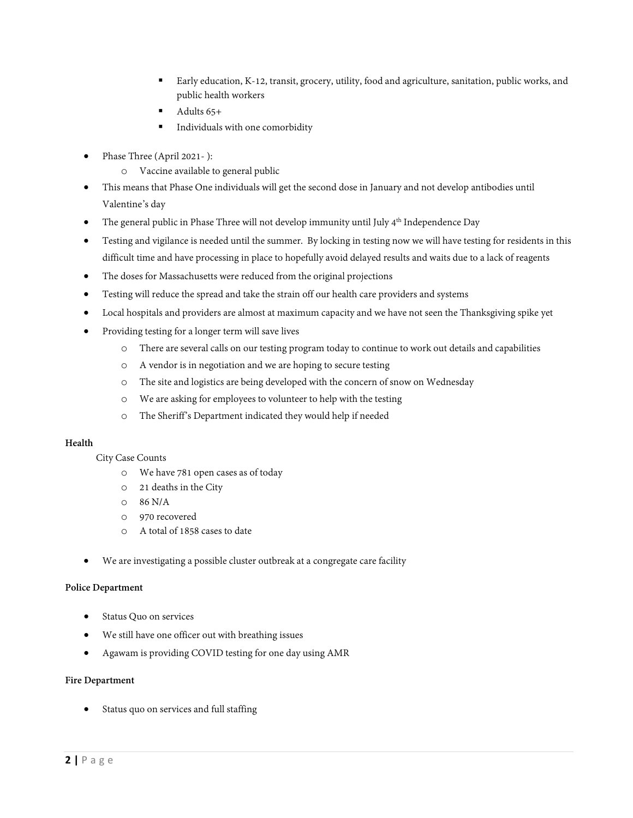- Early education, K-12, transit, grocery, utility, food and agriculture, sanitation, public works, and public health workers
- Adults 65+
- Individuals with one comorbidity
- Phase Three (April 2021- ):
	- o Vaccine available to general public
- This means that Phase One individuals will get the second dose in January and not develop antibodies until Valentine's day
- The general public in Phase Three will not develop immunity until July 4<sup>th</sup> Independence Day
- Testing and vigilance is needed until the summer. By locking in testing now we will have testing for residents in this difficult time and have processing in place to hopefully avoid delayed results and waits due to a lack of reagents
- The doses for Massachusetts were reduced from the original projections
- Testing will reduce the spread and take the strain off our health care providers and systems
- Local hospitals and providers are almost at maximum capacity and we have not seen the Thanksgiving spike yet
- Providing testing for a longer term will save lives
	- o There are several calls on our testing program today to continue to work out details and capabilities
	- o A vendor is in negotiation and we are hoping to secure testing
	- o The site and logistics are being developed with the concern of snow on Wednesday
	- o We are asking for employees to volunteer to help with the testing
	- o The Sheriff's Department indicated they would help if needed

## **Health**

City Case Counts

- o We have 781 open cases as of today
- o 21 deaths in the City
- o 86 N/A
- o 970 recovered
- o A total of 1858 cases to date
- We are investigating a possible cluster outbreak at a congregate care facility

## **Police Department**

- Status Quo on services
- We still have one officer out with breathing issues
- Agawam is providing COVID testing for one day using AMR

# **Fire Department**

Status quo on services and full staffing